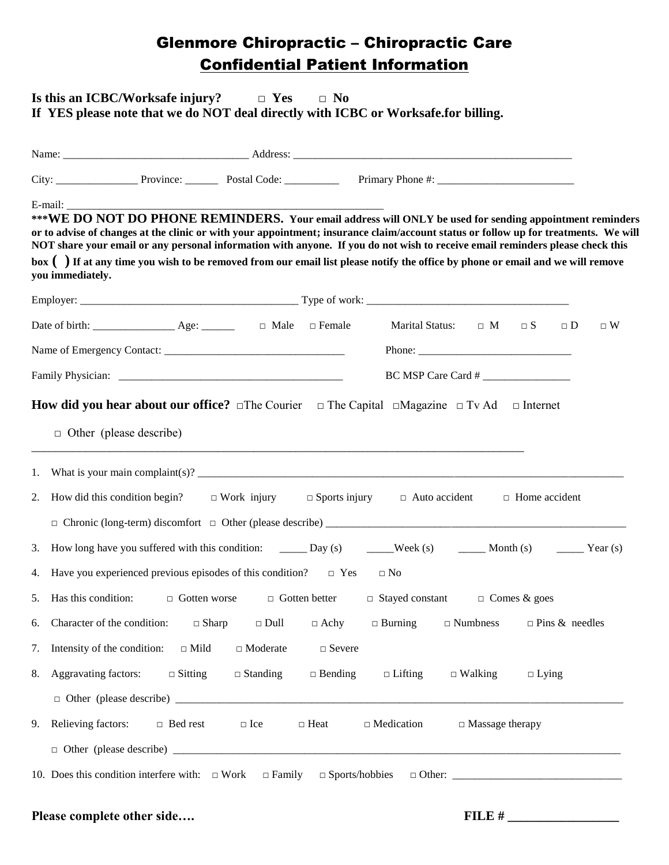## Glenmore Chiropractic – Chiropractic Care Confidential Patient Information

### **Is this an ICBC/Worksafe injury? □ Yes □ No If YES please note that we do NOT deal directly with ICBC or Worksafe.for billing.**

| E-mail:<br>***WE DO NOT DO PHONE REMINDERS. Your email address will ONLY be used for sending appointment reminders<br>or to advise of changes at the clinic or with your appointment; insurance claim/account status or follow up for treatments. We will<br>NOT share your email or any personal information with anyone. If you do not wish to receive email reminders please check this<br>box () If at any time you wish to be removed from our email list please notify the office by phone or email and we will remove<br>you immediately. |                                                                                                                                                                                                                                                                                                                                                                                                                        |  |  |  |  |  |  |  |  |
|--------------------------------------------------------------------------------------------------------------------------------------------------------------------------------------------------------------------------------------------------------------------------------------------------------------------------------------------------------------------------------------------------------------------------------------------------------------------------------------------------------------------------------------------------|------------------------------------------------------------------------------------------------------------------------------------------------------------------------------------------------------------------------------------------------------------------------------------------------------------------------------------------------------------------------------------------------------------------------|--|--|--|--|--|--|--|--|
|                                                                                                                                                                                                                                                                                                                                                                                                                                                                                                                                                  |                                                                                                                                                                                                                                                                                                                                                                                                                        |  |  |  |  |  |  |  |  |
|                                                                                                                                                                                                                                                                                                                                                                                                                                                                                                                                                  | Date of birth: $\begin{array}{ccc}\n\vdots \\ \end{array}$ Age: $\begin{array}{ccc}\n\vdots \\ \end{array}$ $\Box$ Male $\Box$ Female<br>Marital Status: $\Box$ M $\Box$ S<br>$\Box$ W<br>$\Box$ D                                                                                                                                                                                                                     |  |  |  |  |  |  |  |  |
|                                                                                                                                                                                                                                                                                                                                                                                                                                                                                                                                                  |                                                                                                                                                                                                                                                                                                                                                                                                                        |  |  |  |  |  |  |  |  |
|                                                                                                                                                                                                                                                                                                                                                                                                                                                                                                                                                  | BC MSP Care Card #                                                                                                                                                                                                                                                                                                                                                                                                     |  |  |  |  |  |  |  |  |
| 1.<br>2.                                                                                                                                                                                                                                                                                                                                                                                                                                                                                                                                         | <b>How did you hear about our office?</b> $\Box$ The Courier $\Box$ The Capital $\Box$ Magazine $\Box$ Tv Ad $\Box$ Internet<br>$\Box$ Other (please describe)<br><u> 1989 - Johann Barn, amerikan bernama di sebagai bernama di sebagai bernama di sebagai bernama di sebagai bern</u><br>How did this condition begin? $\square$ Work injury $\square$ Sports injury $\square$ Auto accident<br>$\Box$ Home accident |  |  |  |  |  |  |  |  |
| 3.<br>4.                                                                                                                                                                                                                                                                                                                                                                                                                                                                                                                                         | How long have you suffered with this condition: _____ Day (s) _____ Week (s) _____ Month (s) _____ Year (s)<br>Have you experienced previous episodes of this condition? $\Box$ Yes<br>$\Box$ No                                                                                                                                                                                                                       |  |  |  |  |  |  |  |  |
| 5.                                                                                                                                                                                                                                                                                                                                                                                                                                                                                                                                               | Has this condition: $\Box$ Gotten worse $\Box$ Gotten better $\Box$ Stayed constant $\Box$ Comes & goes                                                                                                                                                                                                                                                                                                                |  |  |  |  |  |  |  |  |
|                                                                                                                                                                                                                                                                                                                                                                                                                                                                                                                                                  | 6. Character of the condition: $\Box$ Sharp $\Box$ Dull $\Box$ Achy<br>$\Box$ Burning $\Box$ Numbness<br>$\Box$ Pins & needles                                                                                                                                                                                                                                                                                         |  |  |  |  |  |  |  |  |
|                                                                                                                                                                                                                                                                                                                                                                                                                                                                                                                                                  | 7. Intensity of the condition: $\Box$ Mild<br>$\Box$ Moderate<br>$\Box$ Severe                                                                                                                                                                                                                                                                                                                                         |  |  |  |  |  |  |  |  |
|                                                                                                                                                                                                                                                                                                                                                                                                                                                                                                                                                  | 8. Aggravating factors: $\Box$ Sitting $\Box$ Standing<br>$\Box$ Bending<br>$\Box$ Lifting<br>$\Box$ Walking<br>$\Box$ Lying                                                                                                                                                                                                                                                                                           |  |  |  |  |  |  |  |  |
|                                                                                                                                                                                                                                                                                                                                                                                                                                                                                                                                                  |                                                                                                                                                                                                                                                                                                                                                                                                                        |  |  |  |  |  |  |  |  |
| 9.                                                                                                                                                                                                                                                                                                                                                                                                                                                                                                                                               | Relieving factors:<br>$\Box$ Bed rest<br>$\Box$ Medication<br>$\Box$ Massage therapy<br>$\Box$ Ice<br>$\Box$ Heat                                                                                                                                                                                                                                                                                                      |  |  |  |  |  |  |  |  |
|                                                                                                                                                                                                                                                                                                                                                                                                                                                                                                                                                  |                                                                                                                                                                                                                                                                                                                                                                                                                        |  |  |  |  |  |  |  |  |
|                                                                                                                                                                                                                                                                                                                                                                                                                                                                                                                                                  |                                                                                                                                                                                                                                                                                                                                                                                                                        |  |  |  |  |  |  |  |  |

### **Please complete other side…. FILE # \_\_\_\_\_\_\_\_\_\_\_\_\_\_\_\_\_**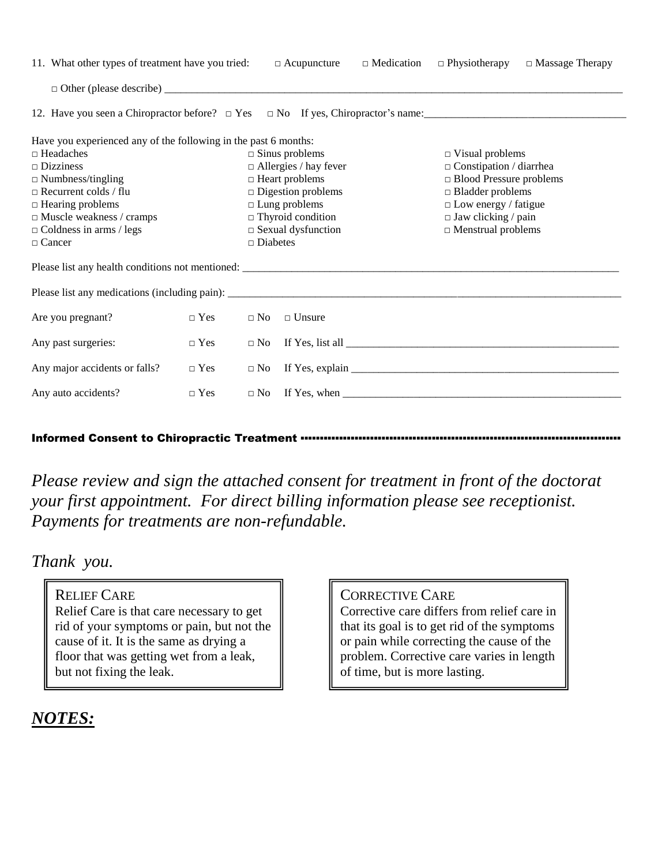| 11. What other types of treatment have you tried:               |            |                                                 | $\Box$ Acupuncture           | $\Box$ Medication | $\Box$ Physiotherapy                                                                                                                                                                                                                                                                                                                                                                                    | $\Box$ Massage Therapy |  |  |  |  |
|-----------------------------------------------------------------|------------|-------------------------------------------------|------------------------------|-------------------|---------------------------------------------------------------------------------------------------------------------------------------------------------------------------------------------------------------------------------------------------------------------------------------------------------------------------------------------------------------------------------------------------------|------------------------|--|--|--|--|
|                                                                 |            |                                                 |                              |                   |                                                                                                                                                                                                                                                                                                                                                                                                         |                        |  |  |  |  |
|                                                                 |            |                                                 |                              |                   |                                                                                                                                                                                                                                                                                                                                                                                                         |                        |  |  |  |  |
| Have you experienced any of the following in the past 6 months: |            |                                                 |                              |                   |                                                                                                                                                                                                                                                                                                                                                                                                         |                        |  |  |  |  |
| $\Box$ Headaches                                                |            |                                                 | $\square$ Sinus problems     |                   | $\Box$ Visual problems                                                                                                                                                                                                                                                                                                                                                                                  |                        |  |  |  |  |
| $\square$ Dizziness                                             |            |                                                 | $\Box$ Allergies / hay fever |                   | $\Box$ Constipation / diarrhea                                                                                                                                                                                                                                                                                                                                                                          |                        |  |  |  |  |
| $\Box$ Numbness/tingling                                        |            |                                                 | $\Box$ Heart problems        |                   | □ Blood Pressure problems                                                                                                                                                                                                                                                                                                                                                                               |                        |  |  |  |  |
| $\Box$ Recurrent colds / flu                                    |            |                                                 | $\Box$ Digestion problems    |                   | $\Box$ Bladder problems                                                                                                                                                                                                                                                                                                                                                                                 |                        |  |  |  |  |
| $\Box$ Hearing problems                                         |            |                                                 | $\Box$ Lung problems         |                   | $\Box$ Low energy / fatigue                                                                                                                                                                                                                                                                                                                                                                             |                        |  |  |  |  |
| $\Box$ Muscle weakness / cramps                                 |            | $\Box$ Thyroid condition                        |                              |                   | $\Box$ Jaw clicking / pain                                                                                                                                                                                                                                                                                                                                                                              |                        |  |  |  |  |
| $\Box$ Coldness in arms / legs<br>$\Box$ Cancer                 |            | $\Box$ Sexual dysfunction<br>$\square$ Diabetes |                              |                   | $\hfill\Box$ Menstrual problems                                                                                                                                                                                                                                                                                                                                                                         |                        |  |  |  |  |
|                                                                 |            |                                                 |                              |                   |                                                                                                                                                                                                                                                                                                                                                                                                         |                        |  |  |  |  |
|                                                                 |            |                                                 |                              |                   |                                                                                                                                                                                                                                                                                                                                                                                                         |                        |  |  |  |  |
|                                                                 |            |                                                 |                              |                   |                                                                                                                                                                                                                                                                                                                                                                                                         |                        |  |  |  |  |
| Are you pregnant?                                               | $\Box$ Yes | $\Box$ No                                       | $\Box$ Unsure                |                   |                                                                                                                                                                                                                                                                                                                                                                                                         |                        |  |  |  |  |
| Any past surgeries:<br>$\Box$ Yes                               |            | $\Box$ No                                       |                              |                   |                                                                                                                                                                                                                                                                                                                                                                                                         |                        |  |  |  |  |
| Any major accidents or falls?<br>$\Box$ Yes                     |            |                                                 |                              |                   |                                                                                                                                                                                                                                                                                                                                                                                                         |                        |  |  |  |  |
| Any auto accidents?<br>$\Box$ Yes                               |            | $\Box$ No                                       |                              |                   | If Yes, when $\frac{1}{\sqrt{1-\frac{1}{2}}\sqrt{1-\frac{1}{2}}\sqrt{1-\frac{1}{2}}\sqrt{1-\frac{1}{2}}\sqrt{1-\frac{1}{2}}\sqrt{1-\frac{1}{2}}\sqrt{1-\frac{1}{2}}\sqrt{1-\frac{1}{2}}\sqrt{1-\frac{1}{2}}\sqrt{1-\frac{1}{2}}\sqrt{1-\frac{1}{2}}\sqrt{1-\frac{1}{2}}\sqrt{1-\frac{1}{2}}\sqrt{1-\frac{1}{2}}\sqrt{1-\frac{1}{2}}\sqrt{1-\frac{1}{2}}\sqrt{1-\frac{1}{2}}\sqrt{1-\frac{1}{2}}\sqrt{1$ |                        |  |  |  |  |
|                                                                 |            |                                                 |                              |                   |                                                                                                                                                                                                                                                                                                                                                                                                         |                        |  |  |  |  |

### Informed Consent to Chiropractic Treatment ••••••••

*Please review and sign the attached consent for treatment in front of the doctorat your first appointment. For direct billing information please see receptionist. Payments for treatments are non-refundable.*

### *Thank you.*

### RELIEF CARE

Relief Care is that care necessary to get rid of your symptoms or pain, but not the cause of it. It is the same as drying a floor that was getting wet from a leak, but not fixing the leak.

### CORRECTIVE CARE

Corrective care differs from relief care in that its goal is to get rid of the symptoms or pain while correcting the cause of the problem. Corrective care varies in length of time, but is more lasting.

# *NOTES:*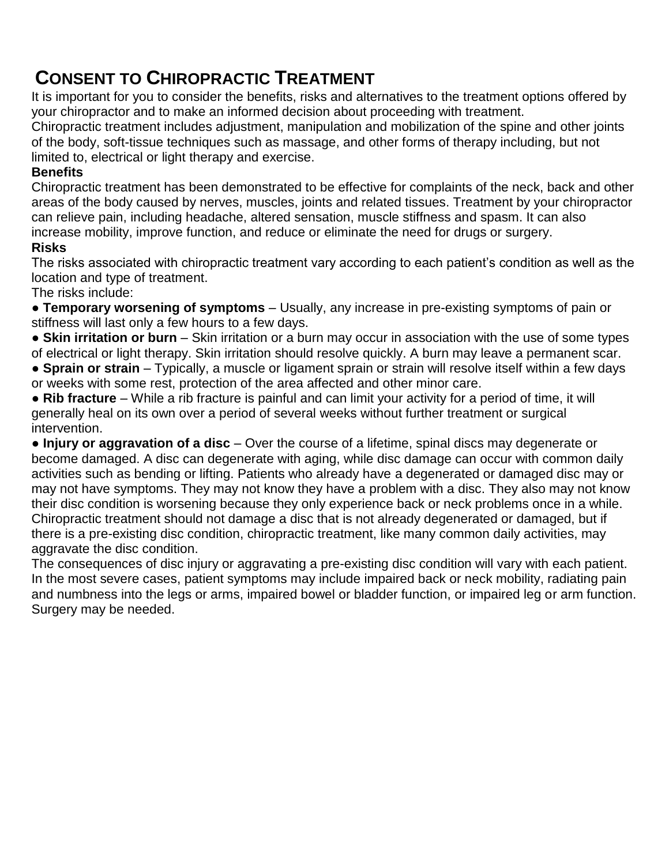# **CONSENT TO CHIROPRACTIC TREATMENT**

It is important for you to consider the benefits, risks and alternatives to the treatment options offered by your chiropractor and to make an informed decision about proceeding with treatment.

Chiropractic treatment includes adjustment, manipulation and mobilization of the spine and other joints of the body, soft-tissue techniques such as massage, and other forms of therapy including, but not limited to, electrical or light therapy and exercise.

### **Benefits**

Chiropractic treatment has been demonstrated to be effective for complaints of the neck, back and other areas of the body caused by nerves, muscles, joints and related tissues. Treatment by your chiropractor can relieve pain, including headache, altered sensation, muscle stiffness and spasm. It can also increase mobility, improve function, and reduce or eliminate the need for drugs or surgery.

### **Risks**

The risks associated with chiropractic treatment vary according to each patient's condition as well as the location and type of treatment.

The risks include:

● **Temporary worsening of symptoms** – Usually, any increase in pre-existing symptoms of pain or stiffness will last only a few hours to a few days.

● **Skin irritation or burn** – Skin irritation or a burn may occur in association with the use of some types of electrical or light therapy. Skin irritation should resolve quickly. A burn may leave a permanent scar.

● **Sprain or strain** – Typically, a muscle or ligament sprain or strain will resolve itself within a few days or weeks with some rest, protection of the area affected and other minor care.

● **Rib fracture** – While a rib fracture is painful and can limit your activity for a period of time, it will generally heal on its own over a period of several weeks without further treatment or surgical intervention.

● **Injury or aggravation of a disc** – Over the course of a lifetime, spinal discs may degenerate or become damaged. A disc can degenerate with aging, while disc damage can occur with common daily activities such as bending or lifting. Patients who already have a degenerated or damaged disc may or may not have symptoms. They may not know they have a problem with a disc. They also may not know their disc condition is worsening because they only experience back or neck problems once in a while. Chiropractic treatment should not damage a disc that is not already degenerated or damaged, but if there is a pre-existing disc condition, chiropractic treatment, like many common daily activities, may aggravate the disc condition.

The consequences of disc injury or aggravating a pre-existing disc condition will vary with each patient. In the most severe cases, patient symptoms may include impaired back or neck mobility, radiating pain and numbness into the legs or arms, impaired bowel or bladder function, or impaired leg or arm function. Surgery may be needed.